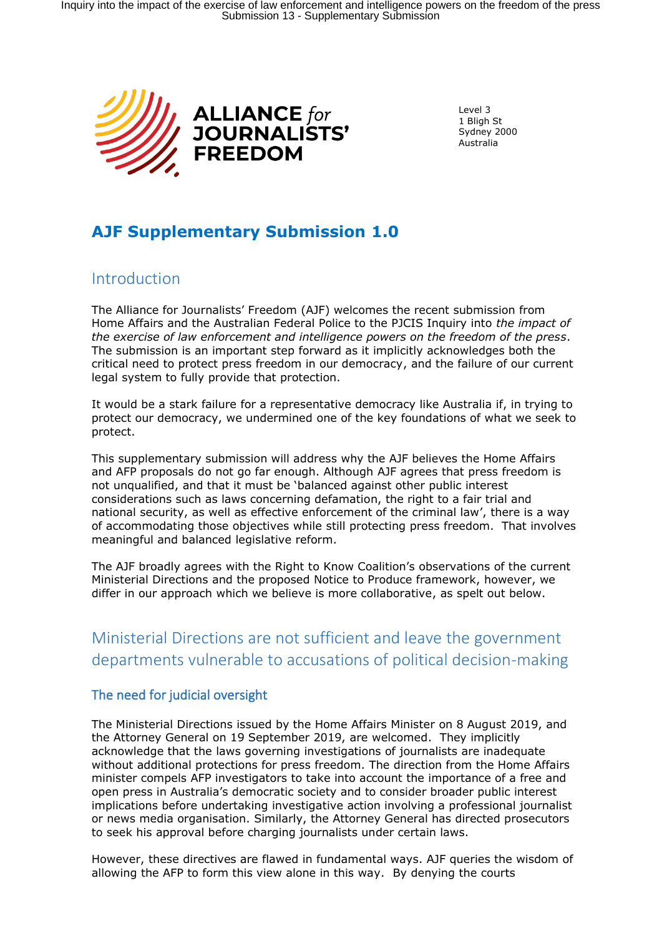

Level 3 1 Bligh St Sydney 2000 Australia

# **AJF Supplementary Submission 1.0**

## Introduction

The Alliance for Journalists' Freedom (AJF) welcomes the recent submission from Home Affairs and the Australian Federal Police to the PJCIS Inquiry into *the impact of the exercise of law enforcement and intelligence powers on the freedom of the press*. The submission is an important step forward as it implicitly acknowledges both the critical need to protect press freedom in our democracy, and the failure of our current legal system to fully provide that protection.

It would be a stark failure for a representative democracy like Australia if, in trying to protect our democracy, we undermined one of the key foundations of what we seek to protect.

This supplementary submission will address why the AJF believes the Home Affairs and AFP proposals do not go far enough. Although AJF agrees that press freedom is not unqualified, and that it must be 'balanced against other public interest considerations such as laws concerning defamation, the right to a fair trial and national security, as well as effective enforcement of the criminal law', there is a way of accommodating those objectives while still protecting press freedom. That involves meaningful and balanced legislative reform.

The AJF broadly agrees with the Right to Know Coalition's observations of the current Ministerial Directions and the proposed Notice to Produce framework, however, we differ in our approach which we believe is more collaborative, as spelt out below.

# Ministerial Directions are not sufficient and leave the government departments vulnerable to accusations of political decision-making

### The need for judicial oversight

The Ministerial Directions issued by the Home Affairs Minister on 8 August 2019, and the Attorney General on 19 September 2019, are welcomed. They implicitly acknowledge that the laws governing investigations of journalists are inadequate without additional protections for press freedom. The direction from the Home Affairs minister compels AFP investigators to take into account the importance of a free and open press in Australia's democratic society and to consider broader public interest implications before undertaking investigative action involving a professional journalist or news media organisation. Similarly, the Attorney General has directed prosecutors to seek his approval before charging journalists under certain laws.

However, these directives are flawed in fundamental ways. AJF queries the wisdom of allowing the AFP to form this view alone in this way. By denying the courts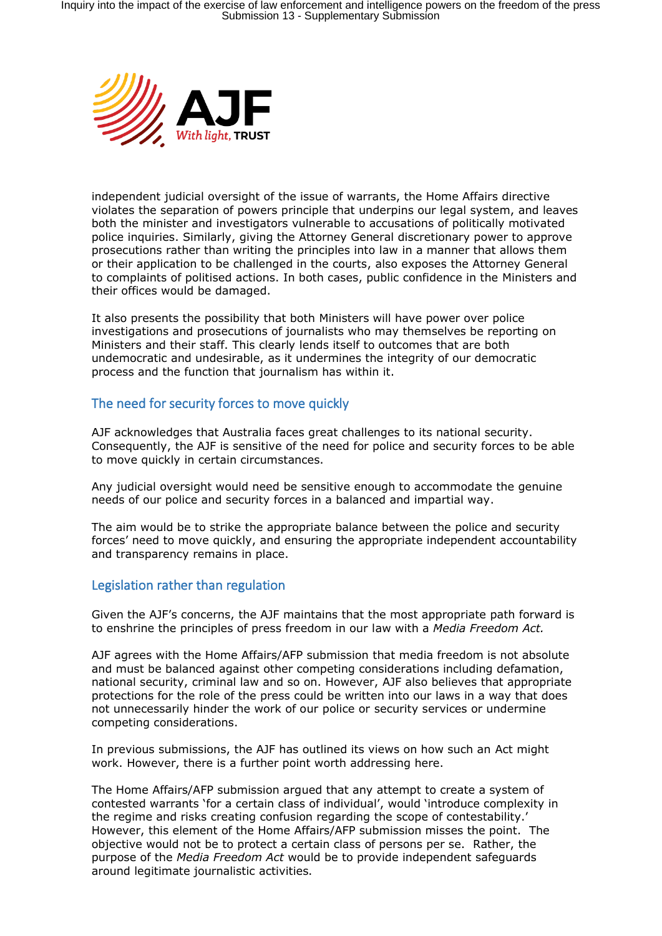

independent judicial oversight of the issue of warrants, the Home Affairs directive violates the separation of powers principle that underpins our legal system, and leaves both the minister and investigators vulnerable to accusations of politically motivated police inquiries. Similarly, giving the Attorney General discretionary power to approve prosecutions rather than writing the principles into law in a manner that allows them or their application to be challenged in the courts, also exposes the Attorney General to complaints of politised actions. In both cases, public confidence in the Ministers and their offices would be damaged.

It also presents the possibility that both Ministers will have power over police investigations and prosecutions of journalists who may themselves be reporting on Ministers and their staff. This clearly lends itself to outcomes that are both undemocratic and undesirable, as it undermines the integrity of our democratic process and the function that journalism has within it.

#### The need for security forces to move quickly

AJF acknowledges that Australia faces great challenges to its national security. Consequently, the AJF is sensitive of the need for police and security forces to be able to move quickly in certain circumstances.

Any judicial oversight would need be sensitive enough to accommodate the genuine needs of our police and security forces in a balanced and impartial way.

The aim would be to strike the appropriate balance between the police and security forces' need to move quickly, and ensuring the appropriate independent accountability and transparency remains in place.

#### Legislation rather than regulation

Given the AJF's concerns, the AJF maintains that the most appropriate path forward is to enshrine the principles of press freedom in our law with a *Media Freedom Act.*

AJF agrees with the Home Affairs/AFP submission that media freedom is not absolute and must be balanced against other competing considerations including defamation, national security, criminal law and so on. However, AJF also believes that appropriate protections for the role of the press could be written into our laws in a way that does not unnecessarily hinder the work of our police or security services or undermine competing considerations.

In previous submissions, the AJF has outlined its views on how such an Act might work. However, there is a further point worth addressing here.

The Home Affairs/AFP submission argued that any attempt to create a system of contested warrants 'for a certain class of individual', would 'introduce complexity in the regime and risks creating confusion regarding the scope of contestability.' However, this element of the Home Affairs/AFP submission misses the point. The objective would not be to protect a certain class of persons per se. Rather, the purpose of the *Media Freedom Act* would be to provide independent safeguards around legitimate journalistic activities.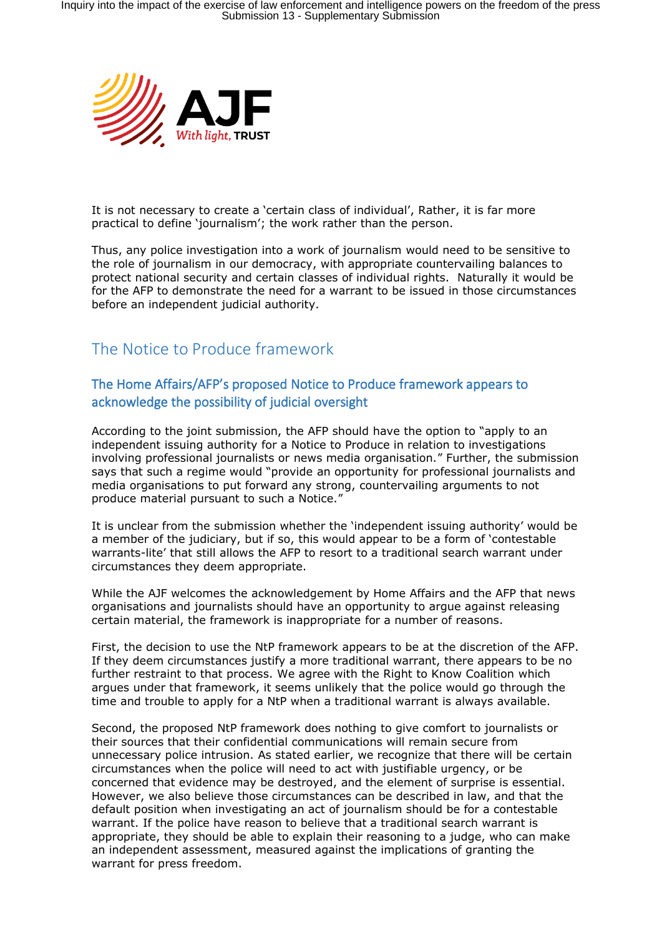

It is not necessary to create a 'certain class of individual', Rather, it is far more practical to define 'journalism'; the work rather than the person.

Thus, any police investigation into a work of journalism would need to be sensitive to the role of journalism in our democracy, with appropriate countervailing balances to protect national security and certain classes of individual rights. Naturally it would be for the AFP to demonstrate the need for a warrant to be issued in those circumstances before an independent judicial authority.

## The Notice to Produce framework

### The Home Affairs/AFP's proposed Notice to Produce framework appears to acknowledge the possibility of judicial oversight

According to the joint submission, the AFP should have the option to "apply to an independent issuing authority for a Notice to Produce in relation to investigations involving professional journalists or news media organisation." Further, the submission says that such a regime would "provide an opportunity for professional journalists and media organisations to put forward any strong, countervailing arguments to not produce material pursuant to such a Notice."

It is unclear from the submission whether the 'independent issuing authority' would be a member of the judiciary, but if so, this would appear to be a form of 'contestable warrants-lite' that still allows the AFP to resort to a traditional search warrant under circumstances they deem appropriate.

While the AJF welcomes the acknowledgement by Home Affairs and the AFP that news organisations and journalists should have an opportunity to argue against releasing certain material, the framework is inappropriate for a number of reasons.

First, the decision to use the NtP framework appears to be at the discretion of the AFP. If they deem circumstances justify a more traditional warrant, there appears to be no further restraint to that process. We agree with the Right to Know Coalition which argues under that framework, it seems unlikely that the police would go through the time and trouble to apply for a NtP when a traditional warrant is always available.

Second, the proposed NtP framework does nothing to give comfort to journalists or their sources that their confidential communications will remain secure from unnecessary police intrusion. As stated earlier, we recognize that there will be certain circumstances when the police will need to act with justifiable urgency, or be concerned that evidence may be destroyed, and the element of surprise is essential. However, we also believe those circumstances can be described in law, and that the default position when investigating an act of journalism should be for a contestable warrant. If the police have reason to believe that a traditional search warrant is appropriate, they should be able to explain their reasoning to a judge, who can make an independent assessment, measured against the implications of granting the warrant for press freedom.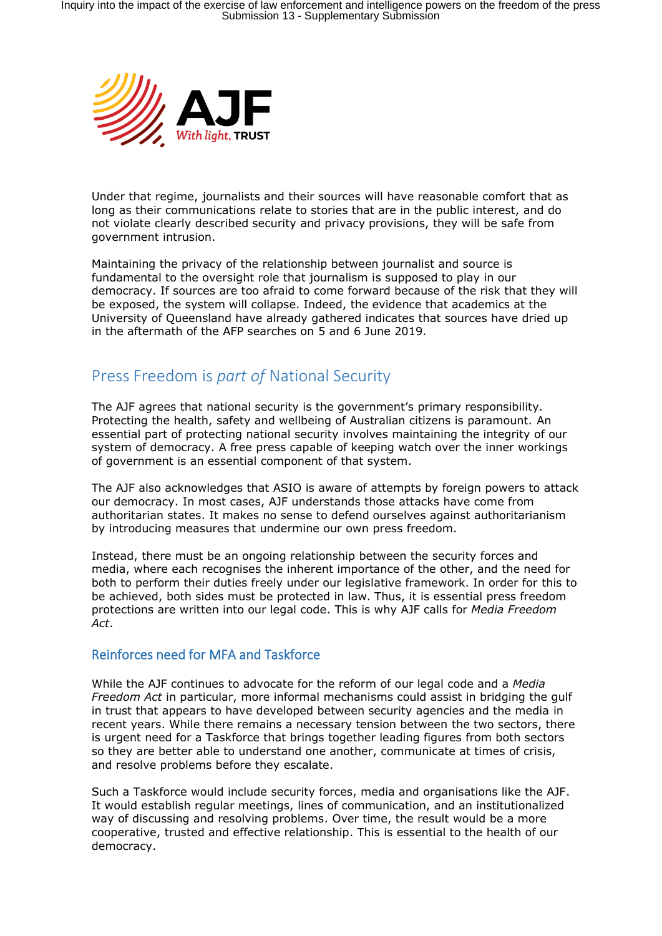

Under that regime, journalists and their sources will have reasonable comfort that as long as their communications relate to stories that are in the public interest, and do not violate clearly described security and privacy provisions, they will be safe from government intrusion.

Maintaining the privacy of the relationship between journalist and source is fundamental to the oversight role that journalism is supposed to play in our democracy. If sources are too afraid to come forward because of the risk that they will be exposed, the system will collapse. Indeed, the evidence that academics at the University of Queensland have already gathered indicates that sources have dried up in the aftermath of the AFP searches on 5 and 6 June 2019.

## Press Freedom is *part of* National Security

The AJF agrees that national security is the government's primary responsibility. Protecting the health, safety and wellbeing of Australian citizens is paramount. An essential part of protecting national security involves maintaining the integrity of our system of democracy. A free press capable of keeping watch over the inner workings of government is an essential component of that system.

The AJF also acknowledges that ASIO is aware of attempts by foreign powers to attack our democracy. In most cases, AJF understands those attacks have come from authoritarian states. It makes no sense to defend ourselves against authoritarianism by introducing measures that undermine our own press freedom.

Instead, there must be an ongoing relationship between the security forces and media, where each recognises the inherent importance of the other, and the need for both to perform their duties freely under our legislative framework. In order for this to be achieved, both sides must be protected in law. Thus, it is essential press freedom protections are written into our legal code. This is why AJF calls for *Media Freedom Act*.

### Reinforces need for MFA and Taskforce

While the AJF continues to advocate for the reform of our legal code and a *Media Freedom Act* in particular, more informal mechanisms could assist in bridging the gulf in trust that appears to have developed between security agencies and the media in recent years. While there remains a necessary tension between the two sectors, there is urgent need for a Taskforce that brings together leading figures from both sectors so they are better able to understand one another, communicate at times of crisis, and resolve problems before they escalate.

Such a Taskforce would include security forces, media and organisations like the AJF. It would establish regular meetings, lines of communication, and an institutionalized way of discussing and resolving problems. Over time, the result would be a more cooperative, trusted and effective relationship. This is essential to the health of our democracy.